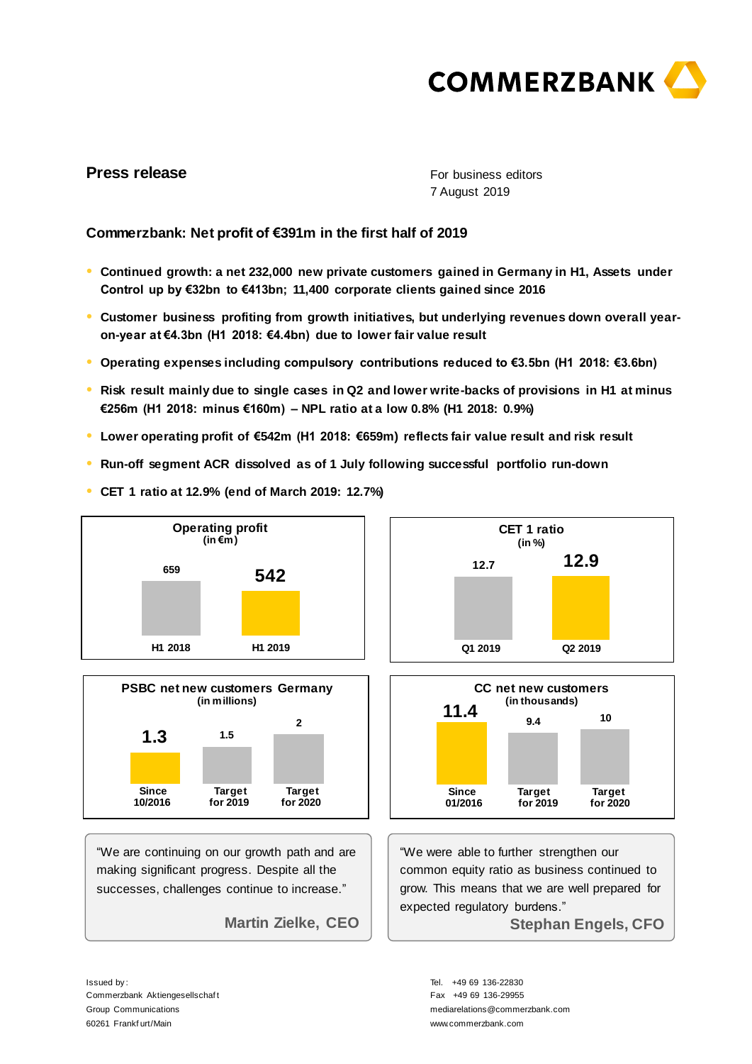

# **Press release**

For business editors 7 August 2019

# **Commerzbank: Net profit of €391m in the first half of 2019**

- **● Continued growth: a net 232,000 new private customers gained in Germany in H1, Assets under Control up by €32bn to €413bn; 11,400 corporate clients gained since 2016**
- **● Customer business profiting from growth initiatives, but underlying revenues down overall yearon-year at €4.3bn (H1 2018: €4.4bn) due to lower fair value result**
- **● Operating expenses including compulsory contributions reduced to €3.5bn (H1 2018: €3.6bn)**
- **● Risk result mainly due to single cases in Q2 and lower write-backs of provisions in H1 at minus €256m (H1 2018: minus €160m) – NPL ratio at a low 0.8% (H1 2018: 0.9%)**
- **● Lower operating profit of €542m (H1 2018: €659m) reflects fair value result and risk result**
- **● Run-off segment ACR dissolved as of 1 July following successful portfolio run-down**



**● CET 1 ratio at 12.9% (end of March 2019: 12.7%)**



"We are continuing on our growth path and are making significant progress. Despite all the successes, challenges continue to increase."

**Martin Zielke, CEO** 





"We were able to further strengthen our common equity ratio as business continued to grow. This means that we are well prepared for expected regulatory burdens." **Stephan Engels, CFO** 

Issued by : Commerzbank Aktiengesellschaf t Group Communications 60261 Frankf urt/Main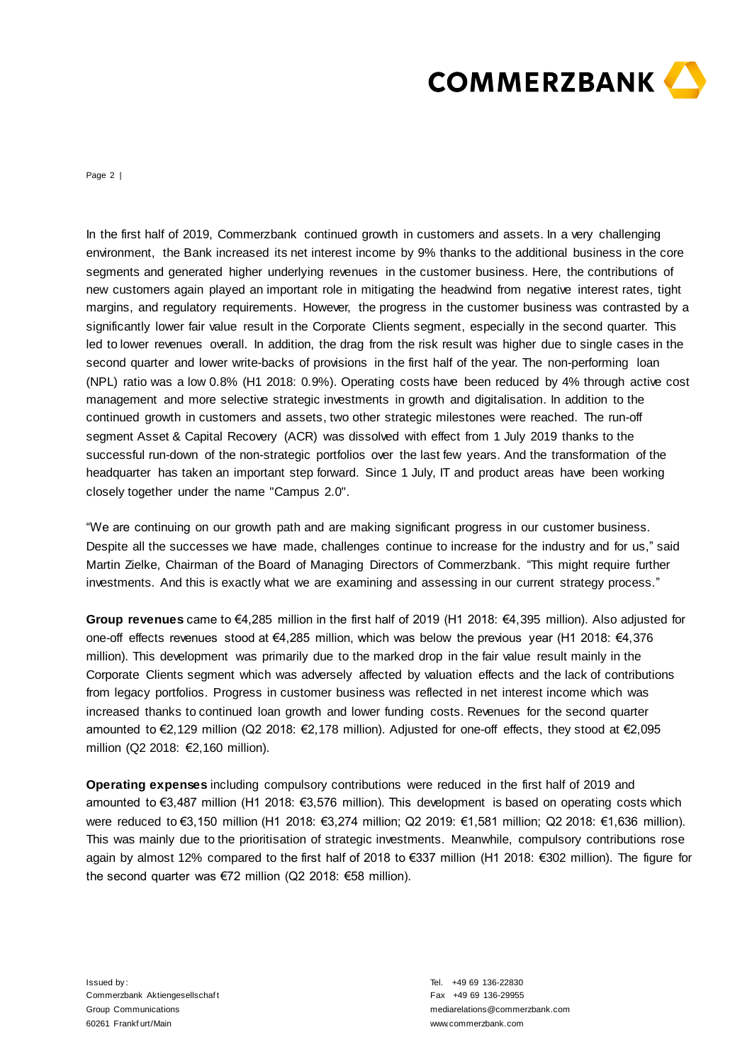

Page 2 |

In the first half of 2019, Commerzbank continued growth in customers and assets. In a very challenging environment, the Bank increased its net interest income by 9% thanks to the additional business in the core segments and generated higher underlying revenues in the customer business. Here, the contributions of new customers again played an important role in mitigating the headwind from negative interest rates, tight margins, and regulatory requirements. However, the progress in the customer business was contrasted by a significantly lower fair value result in the Corporate Clients segment, especially in the second quarter. This led to lower revenues overall. In addition, the drag from the risk result was higher due to single cases in the second quarter and lower write-backs of provisions in the first half of the year. The non-performing loan (NPL) ratio was a low 0.8% (H1 2018: 0.9%). Operating costs have been reduced by 4% through active cost management and more selective strategic investments in growth and digitalisation. In addition to the continued growth in customers and assets, two other strategic milestones were reached. The run-off segment Asset & Capital Recovery (ACR) was dissolved with effect from 1 July 2019 thanks to the successful run-down of the non-strategic portfolios over the last few years. And the transformation of the headquarter has taken an important step forward. Since 1 July, IT and product areas have been working closely together under the name "Campus 2.0".

"We are continuing on our growth path and are making significant progress in our customer business. Despite all the successes we have made, challenges continue to increase for the industry and for us," said Martin Zielke, Chairman of the Board of Managing Directors of Commerzbank. "This might require further investments. And this is exactly what we are examining and assessing in our current strategy process."

**Group revenues** came to €4,285 million in the first half of 2019 (H1 2018: €4,395 million). Also adjusted for one-off effects revenues stood at €4,285 million, which was below the previous year (H1 2018: €4,376 million). This development was primarily due to the marked drop in the fair value result mainly in the Corporate Clients segment which was adversely affected by valuation effects and the lack of contributions from legacy portfolios. Progress in customer business was reflected in net interest income which was increased thanks to continued loan growth and lower funding costs. Revenues for the second quarter amounted to €2,129 million (Q2 2018: €2,178 million). Adjusted for one-off effects, they stood at €2,095 million (Q2 2018: €2,160 million).

**Operating expenses** including compulsory contributions were reduced in the first half of 2019 and amounted to €3,487 million (H1 2018: €3,576 million). This development is based on operating costs which were reduced to €3,150 million (H1 2018: €3,274 million; Q2 2019: €1,581 million; Q2 2018: €1,636 million). This was mainly due to the prioritisation of strategic investments. Meanwhile, compulsory contributions rose again by almost 12% compared to the first half of 2018 to €337 million (H1 2018: €302 million). The figure for the second quarter was €72 million (Q2 2018: €58 million).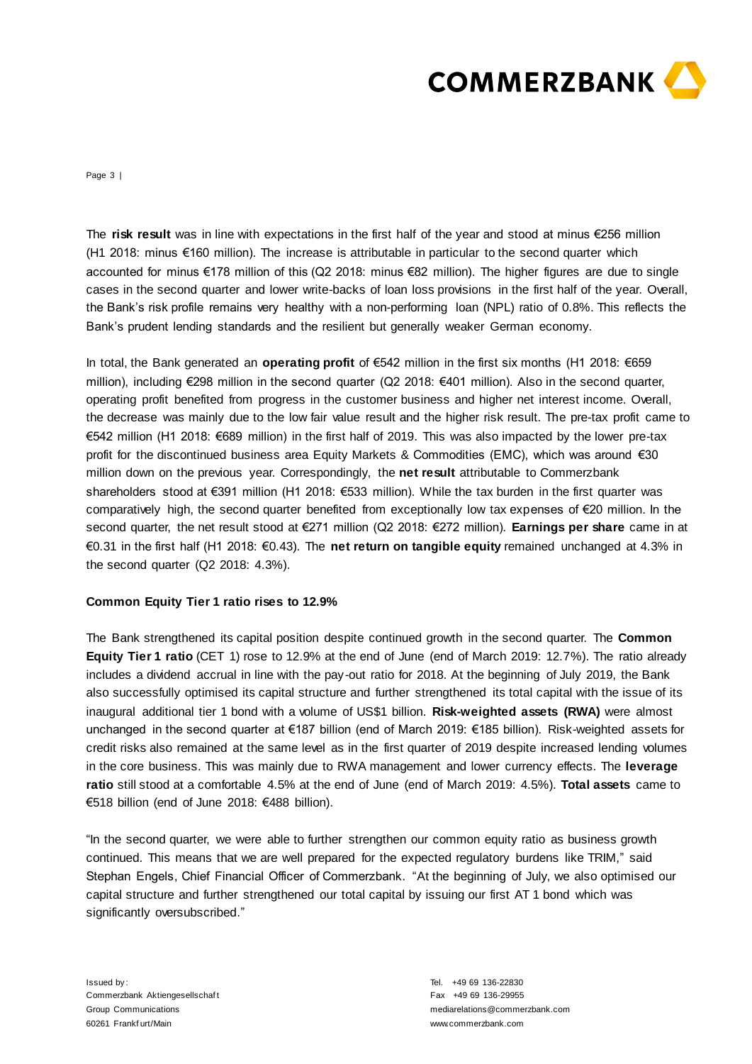

Page 3 |

The **risk result** was in line with expectations in the first half of the year and stood at minus €256 million (H1 2018: minus €160 million). The increase is attributable in particular to the second quarter which accounted for minus €178 million of this (Q2 2018: minus €82 million). The higher figures are due to single cases in the second quarter and lower write-backs of loan loss provisions in the first half of the year. Overall, the Bank's risk profile remains very healthy with a non-performing loan (NPL) ratio of 0.8%. This reflects the Bank's prudent lending standards and the resilient but generally weaker German economy.

In total, the Bank generated an **operating profit** of €542 million in the first six months (H1 2018: €659 million), including €298 million in the second quarter (Q2 2018: €401 million). Also in the second quarter, operating profit benefited from progress in the customer business and higher net interest income. Overall, the decrease was mainly due to the low fair value result and the higher risk result. The pre-tax profit came to €542 million (H1 2018: €689 million) in the first half of 2019. This was also impacted by the lower pre-tax profit for the discontinued business area Equity Markets & Commodities (EMC), which was around €30 million down on the previous year. Correspondingly, the **net result** attributable to Commerzbank shareholders stood at €391 million (H1 2018: €533 million). While the tax burden in the first quarter was comparatively high, the second quarter benefited from exceptionally low tax expenses of €20 million. In the second quarter, the net result stood at €271 million (Q2 2018: €272 million). **Earnings per share** came in at €0.31 in the first half (H1 2018: €0.43). The **net return on tangible equity** remained unchanged at 4.3% in the second quarter (Q2 2018: 4.3%).

## **Common Equity Tier 1 ratio rises to 12.9%**

The Bank strengthened its capital position despite continued growth in the second quarter. The **Common Equity Tier 1 ratio** (CET 1) rose to 12.9% at the end of June (end of March 2019: 12.7%). The ratio already includes a dividend accrual in line with the pay-out ratio for 2018. At the beginning of July 2019, the Bank also successfully optimised its capital structure and further strengthened its total capital with the issue of its inaugural additional tier 1 bond with a volume of US\$1 billion. **Risk-weighted assets (RWA)** were almost unchanged in the second quarter at €187 billion (end of March 2019: €185 billion). Risk-weighted assets for credit risks also remained at the same level as in the first quarter of 2019 despite increased lending volumes in the core business. This was mainly due to RWA management and lower currency effects. The **leverage ratio** still stood at a comfortable 4.5% at the end of June (end of March 2019: 4.5%). **Total assets** came to €518 billion (end of June 2018: €488 billion).

"In the second quarter, we were able to further strengthen our common equity ratio as business growth continued. This means that we are well prepared for the expected regulatory burdens like TRIM," said Stephan Engels, Chief Financial Officer of Commerzbank. "At the beginning of July, we also optimised our capital structure and further strengthened our total capital by issuing our first AT 1 bond which was significantly oversubscribed."

Issued by : Commerzbank Aktiengesellschaf t Group Communications 60261 Frankf urt/Main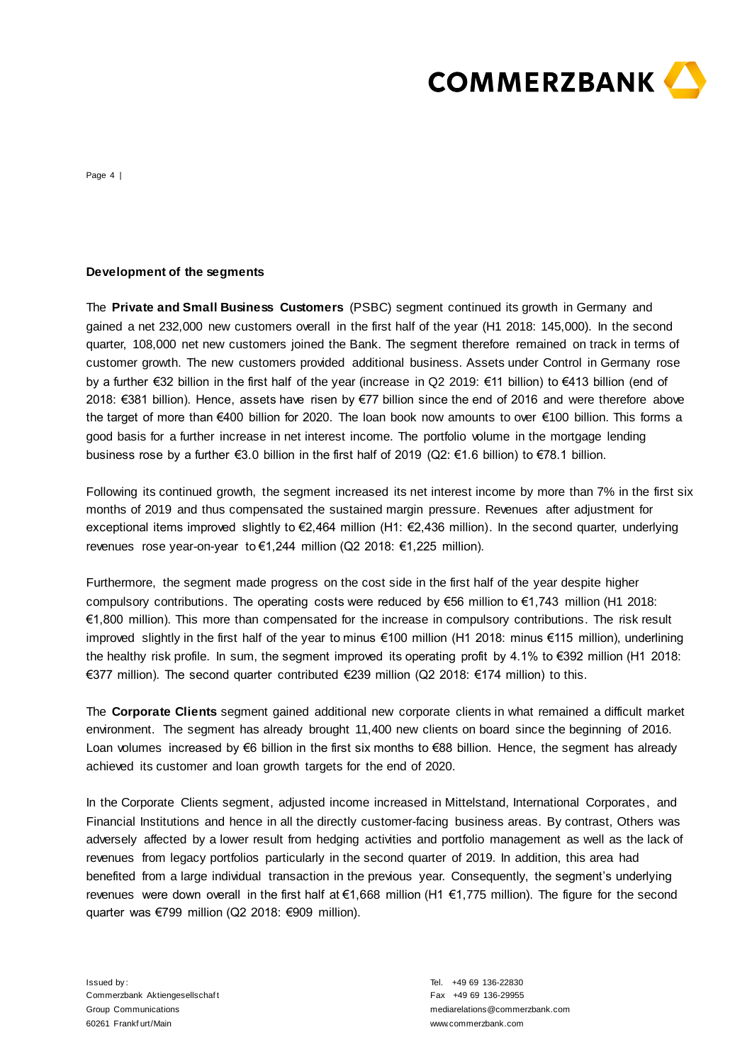

Page 4 |

## **Development of the segments**

The **Private and Small Business Customers** (PSBC) segment continued its growth in Germany and gained a net 232,000 new customers overall in the first half of the year (H1 2018: 145,000). In the second quarter, 108,000 net new customers joined the Bank. The segment therefore remained on track in terms of customer growth. The new customers provided additional business. Assets under Control in Germany rose by a further €32 billion in the first half of the year (increase in Q2 2019: €11 billion) to €413 billion (end of 2018: €381 billion). Hence, assets have risen by €77 billion since the end of 2016 and were therefore above the target of more than €400 billion for 2020. The loan book now amounts to over €100 billion. This forms a good basis for a further increase in net interest income. The portfolio volume in the mortgage lending business rose by a further €3.0 billion in the first half of 2019 (Q2: €1.6 billion) to €78.1 billion.

Following its continued growth, the segment increased its net interest income by more than 7% in the first six months of 2019 and thus compensated the sustained margin pressure. Revenues after adjustment for exceptional items improved slightly to €2,464 million (H1: €2,436 million). In the second quarter, underlying revenues rose year-on-year to €1,244 million (Q2 2018: €1,225 million).

Furthermore, the segment made progress on the cost side in the first half of the year despite higher compulsory contributions. The operating costs were reduced by €56 million to €1,743 million (H1 2018: €1,800 million). This more than compensated for the increase in compulsory contributions. The risk result improved slightly in the first half of the year to minus €100 million (H1 2018: minus €115 million), underlining the healthy risk profile. In sum, the segment improved its operating profit by 4.1% to €392 million (H1 2018: €377 million). The second quarter contributed €239 million (Q2 2018: €174 million) to this.

The **Corporate Clients** segment gained additional new corporate clients in what remained a difficult market environment. The segment has already brought 11,400 new clients on board since the beginning of 2016. Loan volumes increased by €6 billion in the first six months to €88 billion. Hence, the segment has already achieved its customer and loan growth targets for the end of 2020.

In the Corporate Clients segment, adjusted income increased in Mittelstand, International Corporates, and Financial Institutions and hence in all the directly customer-facing business areas. By contrast, Others was adversely affected by a lower result from hedging activities and portfolio management as well as the lack of revenues from legacy portfolios particularly in the second quarter of 2019. In addition, this area had benefited from a large individual transaction in the previous year. Consequently, the segment's underlying revenues were down overall in the first half at €1,668 million (H1 €1,775 million). The figure for the second quarter was €799 million (Q2 2018: €909 million).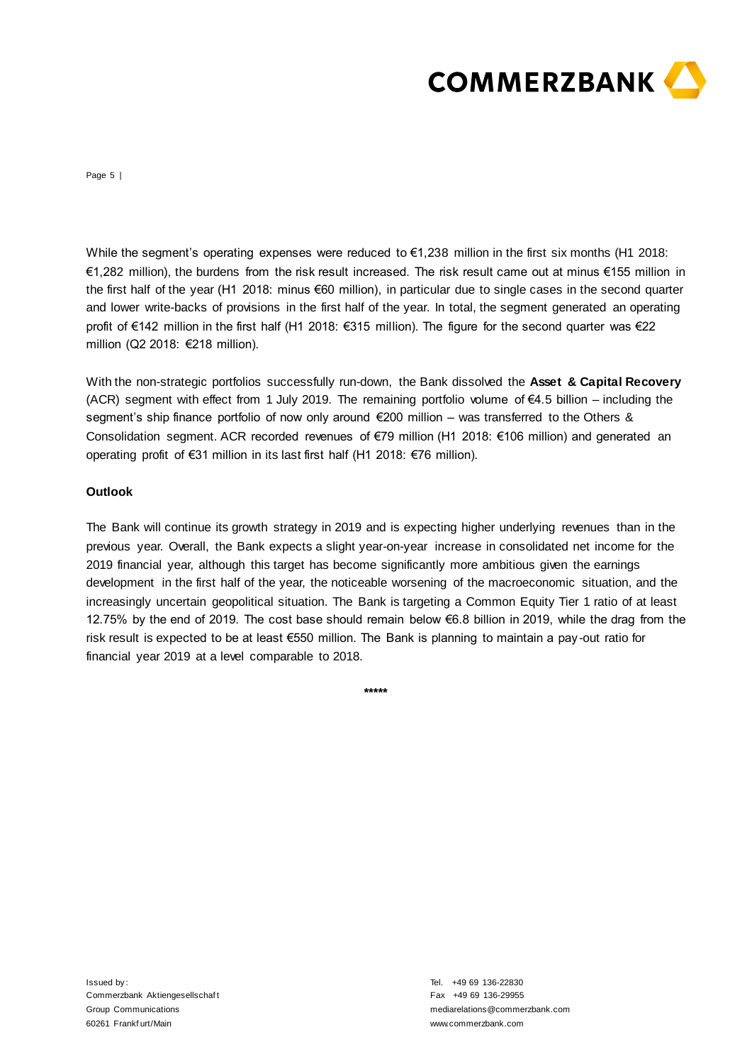

Page 5 |

While the segment's operating expenses were reduced to €1,238 million in the first six months (H1 2018: €1,282 million), the burdens from the risk result increased. The risk result came out at minus €155 million in the first half of the year (H1 2018: minus €60 million), in particular due to single cases in the second quarter and lower write-backs of provisions in the first half of the year. In total, the segment generated an operating profit of €142 million in the first half (H1 2018: €315 million). The figure for the second quarter was €22 million (Q2 2018: €218 million).

With the non-strategic portfolios successfully run-down, the Bank dissolved the **Asset & Capital Recovery** (ACR) segment with effect from 1 July 2019. The remaining portfolio volume of  $\epsilon$ 4.5 billion – including the segment's ship finance portfolio of now only around €200 million – was transferred to the Others & Consolidation segment. ACR recorded revenues of €79 million (H1 2018: €106 million) and generated an operating profit of €31 million in its last first half (H1 2018: €76 million).

## **Outlook**

The Bank will continue its growth strategy in 2019 and is expecting higher underlying revenues than in the previous year. Overall, the Bank expects a slight year-on-year increase in consolidated net income for the 2019 financial year, although this target has become significantly more ambitious given the earnings development in the first half of the year, the noticeable worsening of the macroeconomic situation, and the increasingly uncertain geopolitical situation. The Bank is targeting a Common Equity Tier 1 ratio of at least 12.75% by the end of 2019. The cost base should remain below €6.8 billion in 2019, while the drag from the risk result is expected to be at least €550 million. The Bank is planning to maintain a pay -out ratio for financial year 2019 at a level comparable to 2018.

**\*\*\*\*\***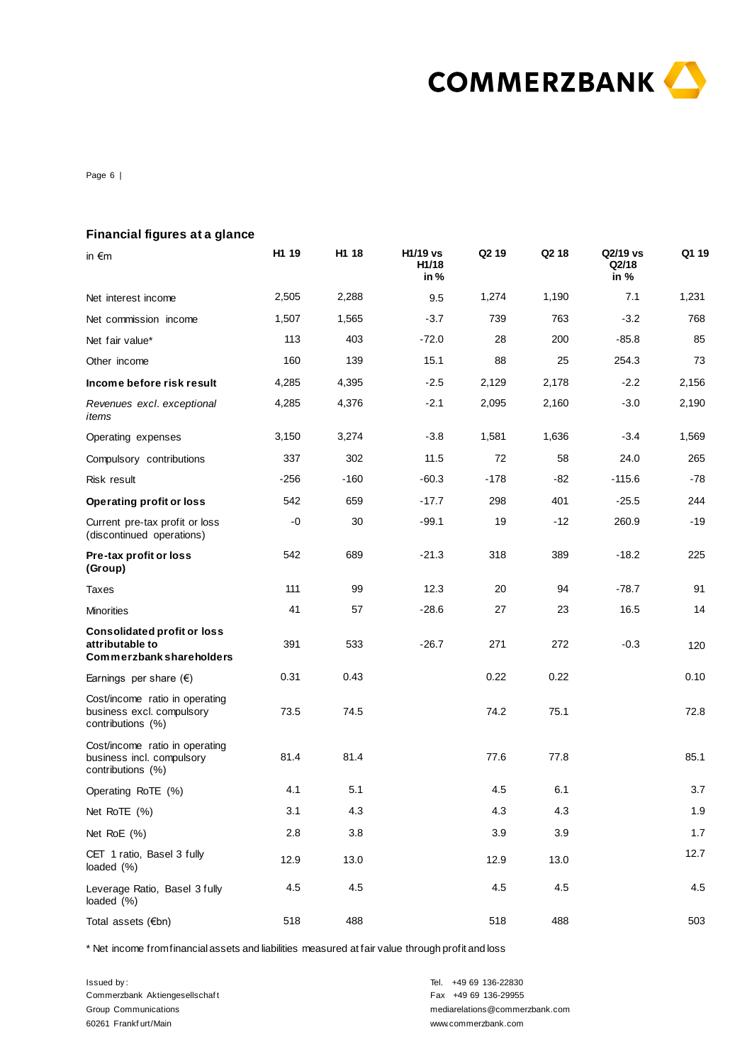

Page 6 |

|  |  | Financial figures at a glance |  |
|--|--|-------------------------------|--|
|--|--|-------------------------------|--|

| in $\epsilon$ m                                                                          | H1 19  | H1 18  | H1/19 vs<br>H1/18<br>in% | Q <sub>2</sub> 19 | Q <sub>2</sub> 18 | Q2/19 vs<br>Q2/18<br>in % | Q1 19 |
|------------------------------------------------------------------------------------------|--------|--------|--------------------------|-------------------|-------------------|---------------------------|-------|
| Net interest income                                                                      | 2,505  | 2,288  | 9.5                      | 1,274             | 1,190             | 7.1                       | 1,231 |
| Net commission income                                                                    | 1,507  | 1,565  | $-3.7$                   | 739               | 763               | $-3.2$                    | 768   |
| Net fair value*                                                                          | 113    | 403    | $-72.0$                  | 28                | 200               | $-85.8$                   | 85    |
| Other income                                                                             | 160    | 139    | 15.1                     | 88                | 25                | 254.3                     | 73    |
| Income before risk result                                                                | 4,285  | 4,395  | $-2.5$                   | 2,129             | 2,178             | $-2.2$                    | 2,156 |
| Revenues excl. exceptional<br>items                                                      | 4,285  | 4,376  | $-2.1$                   | 2,095             | 2,160             | $-3.0$                    | 2,190 |
| Operating expenses                                                                       | 3,150  | 3,274  | $-3.8$                   | 1,581             | 1,636             | $-3.4$                    | 1,569 |
| Compulsory contributions                                                                 | 337    | 302    | 11.5                     | 72                | 58                | 24.0                      | 265   |
| Risk result                                                                              | $-256$ | $-160$ | $-60.3$                  | $-178$            | -82               | $-115.6$                  | $-78$ |
| <b>Operating profit or loss</b>                                                          | 542    | 659    | $-17.7$                  | 298               | 401               | $-25.5$                   | 244   |
| Current pre-tax profit or loss<br>(discontinued operations)                              | -0     | 30     | $-99.1$                  | 19                | -12               | 260.9                     | $-19$ |
| Pre-tax profit or loss<br>(Group)                                                        | 542    | 689    | $-21.3$                  | 318               | 389               | $-18.2$                   | 225   |
| Taxes                                                                                    | 111    | 99     | 12.3                     | 20                | 94                | $-78.7$                   | 91    |
| <b>Minorities</b>                                                                        | 41     | 57     | $-28.6$                  | 27                | 23                | 16.5                      | 14    |
| <b>Consolidated profit or loss</b><br>attributable to<br><b>Commerzbank shareholders</b> | 391    | 533    | $-26.7$                  | 271               | 272               | $-0.3$                    | 120   |
| Earnings per share $(\epsilon)$                                                          | 0.31   | 0.43   |                          | 0.22              | 0.22              |                           | 0.10  |
| Cost/income ratio in operating<br>business excl. compulsory<br>contributions (%)         | 73.5   | 74.5   |                          | 74.2              | 75.1              |                           | 72.8  |
| Cost/income ratio in operating<br>business incl. compulsory<br>contributions (%)         | 81.4   | 81.4   |                          | 77.6              | 77.8              |                           | 85.1  |
| Operating RoTE (%)                                                                       | 4.1    | 5.1    |                          | 4.5               | 6.1               |                           | 3.7   |
| Net RoTE (%)                                                                             | 3.1    | 4.3    |                          | 4.3               | 4.3               |                           | 1.9   |
| Net RoE (%)                                                                              | 2.8    | 3.8    |                          | 3.9               | 3.9               |                           | 1.7   |
| CET 1 ratio, Basel 3 fully<br>loaded (%)                                                 | 12.9   | 13.0   |                          | 12.9              | 13.0              |                           | 12.7  |
| Leverage Ratio, Basel 3 fully<br>loaded (%)                                              | 4.5    | 4.5    |                          | 4.5               | 4.5               |                           | 4.5   |
| Total assets (€bn)                                                                       | 518    | 488    |                          | 518               | 488               |                           | 503   |

\* Net income from financial assets and liabilities measured at fair value through profit and loss

Issued by : Commerzbank Aktiengesellschaf t Group Communications 60261 Frankf urt/Main